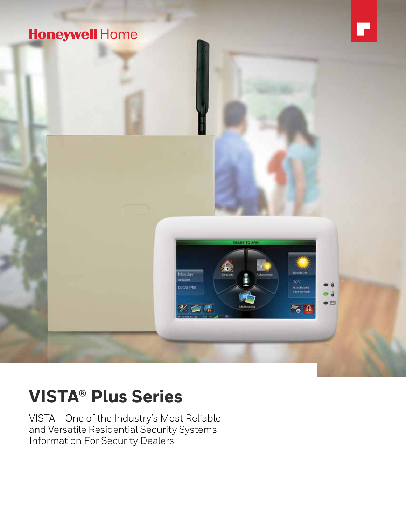

# **VISTA® Plus Series**

VISTA – One of the Industry's Most Reliable and Versatile Residential Security Systems Information For Security Dealers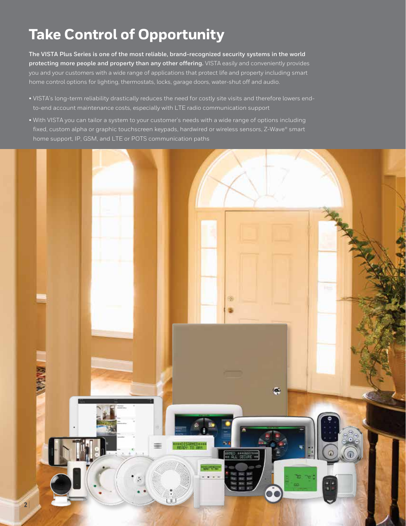# **Take Control of Opportunity**

**The VISTA Plus Series is one of the most reliable, brand-recognized security systems in the world protecting more people and property than any other offering.** VISTA easily and conveniently provides you and your customers with a wide range of applications that protect life and property including smart home control options for lighting, thermostats, locks, garage doors, water-shut off and audio.

- VISTA's long-term reliability drastically reduces the need for costly site visits and therefore lowers endto-end account maintenance costs, especially with LTE radio communication support
- With VISTA you can tailor a system to your customer's needs with a wide range of options including fixed, custom alpha or graphic touchscreen keypads, hardwired or wireless sensors, Z-Wave® smart home support, IP, GSM, and LTE or POTS communication paths

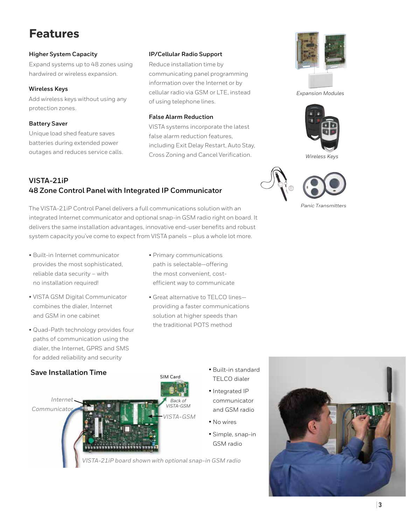### **Features**

### **Higher System Capacity**

Expand systems up to 48 zones using hardwired or wireless expansion.

### **Wireless Keys**

Add wireless keys without using any protection zones.

### **Battery Saver**

Unique load shed feature saves batteries during extended power outages and reduces service calls.

### **IP/Cellular Radio Support**

Reduce installation time by communicating panel programming information over the Internet or by cellular radio via GSM or LTE, instead of using telephone lines.

### **False Alarm Reduction**

VISTA systems incorporate the latest false alarm reduction features, including Exit Delay Restart, Auto Stay, Cross Zoning and Cancel Verification.



*Expansion Modules*



*Wireless Keys* 

### **VISTA-21iP 48 Zone Control Panel with Integrated IP Communicator**

The VISTA-21iP Control Panel delivers a full communications solution with an integrated Internet communicator and optional snap-in GSM radio right on board. It delivers the same installation advantages, innovative end-user benefits and robust system capacity you've come to expect from VISTA panels – plus a whole lot more.

- Built-in Internet communicator provides the most sophisticated, reliable data security – with no installation required!
- VISTA GSM Digital Communicator combines the dialer, Internet and GSM in one cabinet
- Quad-Path technology provides four paths of communication using the dialer, the Internet, GPRS and SMS for added reliability and security
- Primary communications path is selectable—offering the most convenient, costefficient way to communicate
- Great alternative to TELCO lines providing a faster communications solution at higher speeds than the traditional POTS method





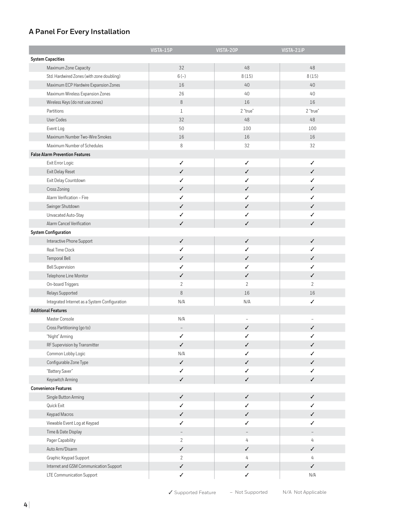### **A Panel For Every Installation**

|                                               | VISTA-15P                | VISTA-20P                | VISTA-21iP               |
|-----------------------------------------------|--------------------------|--------------------------|--------------------------|
| <b>System Capacities</b>                      |                          |                          |                          |
| Maximum Zone Capacity                         | 32                       | 48                       | 48                       |
| Std. Hardwired Zones (with zone doubling)     | $6(-)$                   | 8(15)                    | 8(15)                    |
| Maximum ECP Hardwire Expansion Zones          | 16                       | 40                       | 40                       |
| Maximum Wireless Expansion Zones              | 26                       | 40                       | 40                       |
| Wireless Keys (do not use zones)              | $\, 8$                   | 16                       | 16                       |
| Partitions                                    | $1\,$                    | 2 "true"                 | 2 "true"                 |
| User Codes                                    | 32                       | 48                       | $48\,$                   |
| Event Log                                     | 50                       | 100                      | 100                      |
| Maximum Number Two-Wire Smokes                | 16                       | 16                       | 16                       |
| Maximum Number of Schedules                   | $\,8\,$                  | 32                       | 32                       |
| <b>False Alarm Prevention Features</b>        |                          |                          |                          |
| Exit Error Logic                              | ✓                        | ✓                        | ✓                        |
| Exit Delay Reset                              | ✓                        | $\checkmark$             | $\checkmark$             |
| Exit Delay Countdown                          | ✓                        | ✓                        | ✓                        |
| Cross Zoning                                  | ✓                        | ✓                        | $\checkmark$             |
| Alarm Verification - Fire                     | ✓                        | ✓                        | ✓                        |
| Swinger Shutdown                              | ✓                        | ✓                        | ✓                        |
| Unvacated Auto-Stay                           | ✓                        | ✓                        | ✓                        |
| Alarm Cancel Verification                     | ✓                        | ✓                        | $\checkmark$             |
| <b>System Configuration</b>                   |                          |                          |                          |
|                                               | ✓                        | ✓                        | ✓                        |
| Interactive Phone Support                     | ✓                        | ✓                        |                          |
| Real Time Clock                               |                          |                          | ✓                        |
| Temporal Bell                                 | ✓                        | ✓                        | $\checkmark$             |
| <b>Bell Supervision</b>                       | ✓                        | ✓                        | ✓                        |
| Telephone Line Monitor                        | ✓                        | ✓                        | ✓                        |
| On-board Triggers                             | $\overline{2}$           | $\mathbf{2}$             | $\mathbf{2}$             |
| Relays Supported                              | $\,8\,$                  | 16                       | 16                       |
| Integrated Internet as a System Configuration | N/A                      | N/A                      | ✓                        |
| <b>Additional Features</b>                    |                          |                          |                          |
| Master Console                                | N/A                      |                          | L                        |
| Cross Partitioning (go to)                    |                          | ✓                        | ✓                        |
| "Night" Arming                                | ✓                        | ✓                        | ✓                        |
| RF Supervision by Transmitter                 | ✓                        | ✓                        | ✓                        |
| Common Lobby Logic                            | N/A                      | ✓                        | ✓                        |
| Configurable Zone Type                        | $\checkmark$             | ✓                        | $\checkmark$             |
| "Battery Saver"                               | ✓                        | $\checkmark$             | $\checkmark$             |
| Keyswitch Arming                              | $\checkmark$             | $\checkmark$             | $\checkmark$             |
| <b>Convenience Features</b>                   |                          |                          |                          |
| Single Button Arming                          | ✓                        | $\checkmark$             | $\checkmark$             |
| Quick Exit                                    | ✓                        | ✓                        | ✓                        |
| Keypad Macros                                 | ✓                        | $\checkmark$             | $\checkmark$             |
| Viewable Event Log at Keypad                  | ✓                        | $\checkmark$             | $\checkmark$             |
| Time & Date Display                           | $\overline{\phantom{a}}$ | $\overline{\phantom{a}}$ | $\overline{\phantom{a}}$ |
| Pager Capability                              | $\overline{2}$           | 4                        | $\overline{4}$           |
| Auto Arm/Disarm                               | ✓                        | $\checkmark$             | $\checkmark$             |
| Graphic Keypad Support                        | $\overline{2}$           | 4                        | 4                        |
| Internet and GSM Communication Support        | ✓                        | $\checkmark$             | $\checkmark$             |
| LTE Communication Support                     | ✓                        | $\checkmark$             | N/A                      |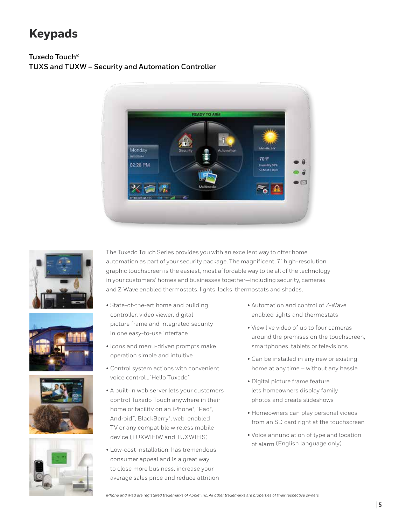### **Keypads**

### **Tuxedo Touch® TUXS and TUXW – Security and Automation Controller**











The Tuxedo Touch Series provides you with an excellent way to offer home automation as part of your security package. The magnificent, 7" high-resolution graphic touchscreen is the easiest, most affordable way to tie all of the technology in your customers' homes and businesses together—including security, cameras and Z-Wave enabled thermostats, lights, locks, thermostats and shades.

- State-of-the-art home and building controller, video viewer, digital picture frame and integrated security in one easy-to-use interface
- Icons and menu-driven prompts make operation simple and intuitive
- Control system actions with convenient voice control..."Hello Tuxedo"
- A built-in web server lets your customers control Tuxedo Touch anywhere in their home or facility on an iPhone®, iPad®, Android™, BlackBerry®, web-enabled TV or any compatible wireless mobile device (TUXWIFIW and TUXWIFIS)
- Low-cost installation, has tremendous consumer appeal and is a great way to close more business, increase your average sales price and reduce attrition
- Automation and control of Z-Wave enabled lights and thermostats
- View live video of up to four cameras around the premises on the touchscreen, smartphones, tablets or televisions
- Can be installed in any new or existing home at any time – without any hassle
- Digital picture frame feature lets homeowners display family photos and create slideshows
- Homeowners can play personal videos from an SD card right at the touchscreen
- Voice annunciation of type and location of alarm (English language only)

*iPhone and iPad are registered trademarks of Apple® Inc. All other trademarks are properties of their respective owners.*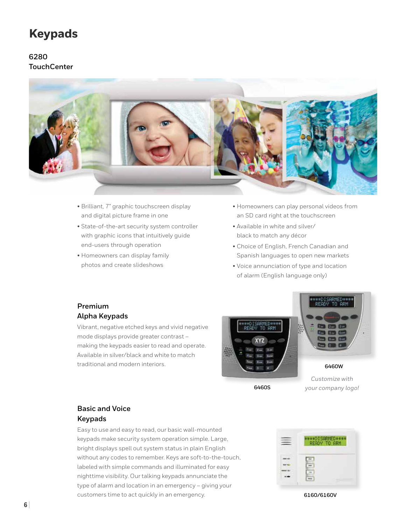### **Keypads**

### **6280 TouchCenter**



- Brilliant, 7" graphic touchscreen display and digital picture frame in one
- State-of-the-art security system controller with graphic icons that intuitively guide end-users through operation
- Homeowners can display family photos and create slideshows
- Homeowners can play personal videos from an SD card right at the touchscreen
- Available in white and silver/ black to match any décor
- Choice of English, French Canadian and Spanish languages to open new markets
- Voice annunciation of type and location of alarm (English language only)

### **Premium Alpha Keypads**

Vibrant, negative etched keys and vivid negative mode displays provide greater contrast – making the keypads easier to read and operate. Available in silver/black and white to match traditional and modern interiors.



**6460S**



**6460W**

*Customize with your company logo!*

### **Basic and Voice Keypads**

Easy to use and easy to read, our basic wall-mounted keypads make security system operation simple. Large, bright displays spell out system status in plain English without any codes to remember. Keys are soft-to-the-touch, labeled with simple commands and illuminated for easy nighttime visibility. Our talking keypads annunciate the type of alarm and location in an emergency – giving your customers time to act quickly in an emergency. **6160/6160V**

| ***OISARMED**<br>GRM<br><b>STEP</b> |
|-------------------------------------|
|                                     |
|                                     |
|                                     |
|                                     |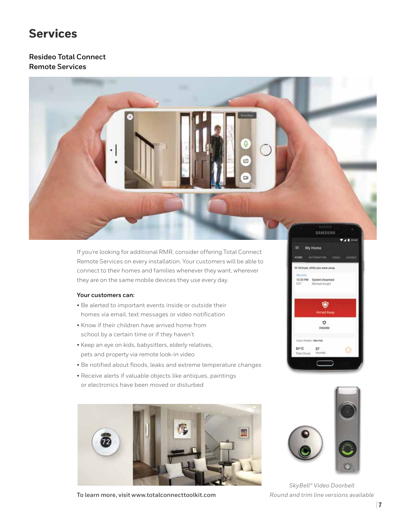### **Services**

### **Resideo Total Connect Remote Services**



If you're looking for additional RMR, consider offering Total Connect Remote Services on every installation. Your customers will be able to connect to their homes and families whenever they want, wherever they are on the same mobile devices they use every day.

#### **Your customers can:**

- Be alerted to important events inside or outside their homes via email, text messages or video notification
- Know if their children have arrived home from school by a certain time or if they haven't
- Keep an eye on kids, babysitters, elderly relatives, pets and property via remote look-in video
- Be notified about floods, leaks and extreme temperature changes
- Receive alerts if valuable objects like antiques, paintings or electronics have been moved or disturbed



**To learn more, visit www.totalconnecttoolkit.com**





*SkyBell® Video Doorbell Round and trim line versions available*